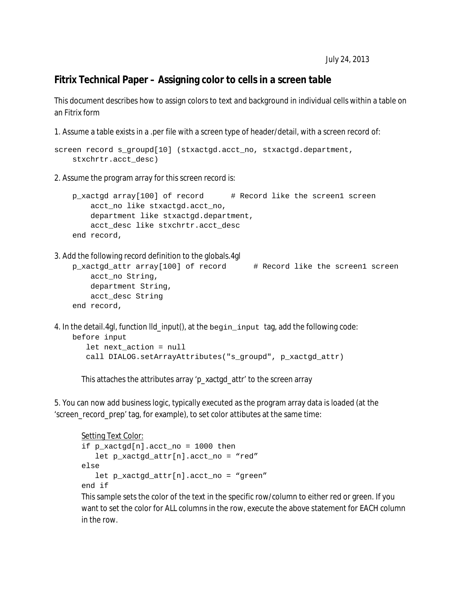## **Fitrix Technical Paper – Assigning color to cells in a screen table**

This document describes how to assign colors to text and background in individual cells within a table on an Fitrix form

1. Assume a table exists in a .per file with a screen type of header/detail, with a screen record of:

```
screen record s_groupd[10] (stxactgd.acct_no, stxactgd.department,
     stxchrtr.acct_desc)
```
2. Assume the program array for this screen record is:

```
 p_xactgd array[100] of record # Record like the screen1 screen
     acct_no like stxactgd.acct_no,
    department like stxactgd.department,
   acct desc like stxchrtr.acct desc
 end record,
```
3. Add the following record definition to the globals.4gl

```
p_xactgd_attr array[100] of record # Record like the screen1 screen
   acct no String,
    department String,
    acct_desc String
 end record,
```
4. In the detail.4gl, function lld\_input(), at the begin\_input tag, add the following code: before input let next\_action = null call DIALOG.setArrayAttributes("s\_groupd", p\_xactgd\_attr)

This attaches the attributes array 'p\_xactgd\_attr' to the screen array

5. You can now add business logic, typically executed as the program array data is loaded (at the 'screen\_record\_prep' tag, for example), to set color attibutes at the same time:

```
Setting Text Color:
if p_xactgd[n].acct_no = 1000 then
    let p_xactgd_attr[n].acct_no = "red"
else
    let p_xactgd_attr[n].acct_no = "green"
end if
```
This sample sets the color of the text in the specific row/column to either red or green. If you want to set the color for ALL columns in the row, execute the above statement for EACH column in the row.